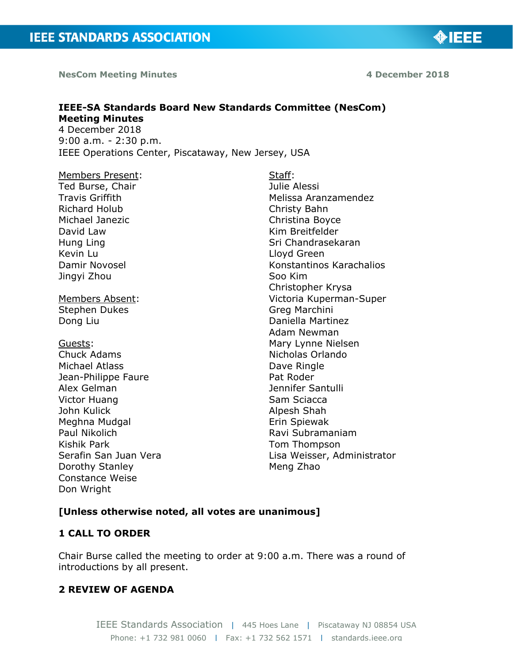**NesCom Meeting Minutes 4 December 2018**

# ◈IEEE

# **IEEE-SA Standards Board New Standards Committee (NesCom) Meeting Minutes**  4 December 2018

9:00 a.m. - 2:30 p.m. IEEE Operations Center, Piscataway, New Jersey, USA

Members Present: Ted Burse, Chair Travis Griffith Richard Holub Michael Janezic David Law Hung Ling Kevin Lu Damir Novosel Jingyi Zhou

Members Absent: Stephen Dukes Dong Liu

Guests: Chuck Adams Michael Atlass Jean-Philippe Faure Alex Gelman Victor Huang John Kulick Meghna Mudgal Paul Nikolich Kishik Park Serafin San Juan Vera Dorothy Stanley Constance Weise Don Wright

Staff: Julie Alessi Melissa Aranzamendez Christy Bahn Christina Boyce Kim Breitfelder Sri Chandrasekaran Lloyd Green Konstantinos Karachalios Soo Kim Christopher Krysa Victoria Kuperman-Super Greg Marchini Daniella Martinez Adam Newman Mary Lynne Nielsen Nicholas Orlando Dave Ringle Pat Roder Jennifer Santulli Sam Sciacca Alpesh Shah Erin Spiewak Ravi Subramaniam Tom Thompson Lisa Weisser, Administrator Meng Zhao

# **[Unless otherwise noted, all votes are unanimous]**

# **1 CALL TO ORDER**

Chair Burse called the meeting to order at 9:00 a.m. There was a round of introductions by all present.

# **2 REVIEW OF AGENDA**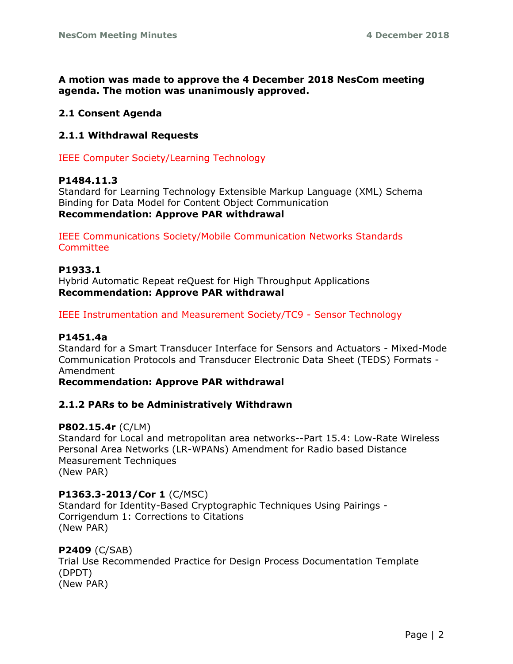**A motion was made to approve the 4 December 2018 NesCom meeting agenda. The motion was unanimously approved.**

# **2.1 Consent Agenda**

# **2.1.1 Withdrawal Requests**

IEEE Computer Society/Learning Technology

# **P1484.11.3**

Standard for Learning Technology Extensible Markup Language (XML) Schema Binding for Data Model for Content Object Communication **Recommendation: Approve PAR withdrawal**

IEEE Communications Society/Mobile Communication Networks Standards **Committee** 

# **P1933.1**

Hybrid Automatic Repeat reQuest for High Throughput Applications **Recommendation: Approve PAR withdrawal**

IEEE Instrumentation and Measurement Society/TC9 - Sensor Technology

# **P1451.4a**

Standard for a Smart Transducer Interface for Sensors and Actuators - Mixed-Mode Communication Protocols and Transducer Electronic Data Sheet (TEDS) Formats - Amendment

#### **Recommendation: Approve PAR withdrawal**

# **2.1.2 PARs to be Administratively Withdrawn**

# **P802.15.4r** (C/LM)

Standard for Local and metropolitan area networks--Part 15.4: Low-Rate Wireless Personal Area Networks (LR-WPANs) Amendment for Radio based Distance Measurement Techniques (New PAR)

# **P1363.3-2013/Cor 1** (C/MSC)

Standard for Identity-Based Cryptographic Techniques Using Pairings - Corrigendum 1: Corrections to Citations (New PAR)

# **P2409** (C/SAB)

Trial Use Recommended Practice for Design Process Documentation Template (DPDT) (New PAR)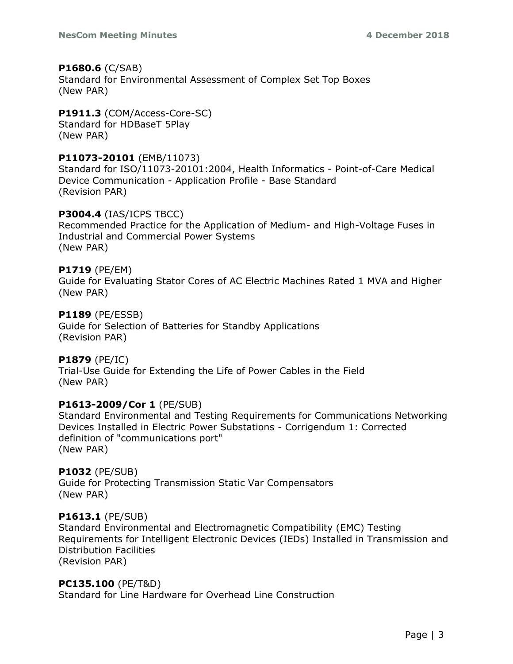# **P1680.6** (C/SAB)

Standard for Environmental Assessment of Complex Set Top Boxes (New PAR)

# **P1911.3** (COM/Access-Core-SC)

Standard for HDBaseT 5Play (New PAR)

# **P11073-20101** (EMB/11073)

Standard for ISO/11073-20101:2004, Health Informatics - Point-of-Care Medical Device Communication - Application Profile - Base Standard (Revision PAR)

# **P3004.4** (IAS/ICPS TBCC)

Recommended Practice for the Application of Medium- and High-Voltage Fuses in Industrial and Commercial Power Systems (New PAR)

# **P1719** (PE/EM)

Guide for Evaluating Stator Cores of AC Electric Machines Rated 1 MVA and Higher (New PAR)

# **P1189** (PE/ESSB)

Guide for Selection of Batteries for Standby Applications (Revision PAR)

# **P1879** (PE/IC)

Trial-Use Guide for Extending the Life of Power Cables in the Field (New PAR)

# **P1613-2009/Cor 1** (PE/SUB)

Standard Environmental and Testing Requirements for Communications Networking Devices Installed in Electric Power Substations - Corrigendum 1: Corrected definition of "communications port" (New PAR)

# **P1032** (PE/SUB)

Guide for Protecting Transmission Static Var Compensators (New PAR)

# **P1613.1** (PE/SUB)

Standard Environmental and Electromagnetic Compatibility (EMC) Testing Requirements for Intelligent Electronic Devices (IEDs) Installed in Transmission and Distribution Facilities (Revision PAR)

# **PC135.100** (PE/T&D)

Standard for Line Hardware for Overhead Line Construction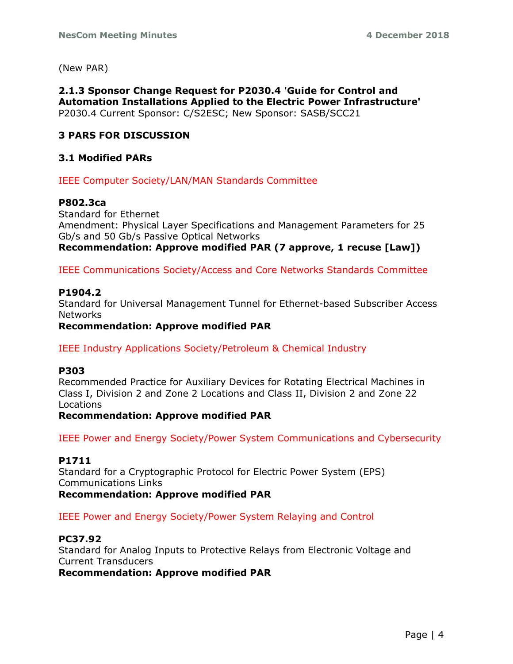(New PAR)

**2.1.3 Sponsor Change Request for P2030.4 'Guide for Control and Automation Installations Applied to the Electric Power Infrastructure'** P2030.4 Current Sponsor: C/S2ESC; New Sponsor: SASB/SCC21

# **3 PARS FOR DISCUSSION**

# **3.1 Modified PARs**

IEEE Computer Society/LAN/MAN Standards Committee

### **P802.3ca**

Standard for Ethernet Amendment: Physical Layer Specifications and Management Parameters for 25 Gb/s and 50 Gb/s Passive Optical Networks **Recommendation: Approve modified PAR (7 approve, 1 recuse [Law])**

IEEE Communications Society/Access and Core Networks Standards Committee

#### **P1904.2**

Standard for Universal Management Tunnel for Ethernet-based Subscriber Access Networks

**Recommendation: Approve modified PAR**

IEEE Industry Applications Society/Petroleum & Chemical Industry

#### **P303**

Recommended Practice for Auxiliary Devices for Rotating Electrical Machines in Class I, Division 2 and Zone 2 Locations and Class II, Division 2 and Zone 22 Locations

**Recommendation: Approve modified PAR**

IEEE Power and Energy Society/Power System Communications and Cybersecurity

# **P1711**

Standard for a Cryptographic Protocol for Electric Power System (EPS) Communications Links

**Recommendation: Approve modified PAR**

IEEE Power and Energy Society/Power System Relaying and Control

# **PC37.92**

Standard for Analog Inputs to Protective Relays from Electronic Voltage and Current Transducers

**Recommendation: Approve modified PAR**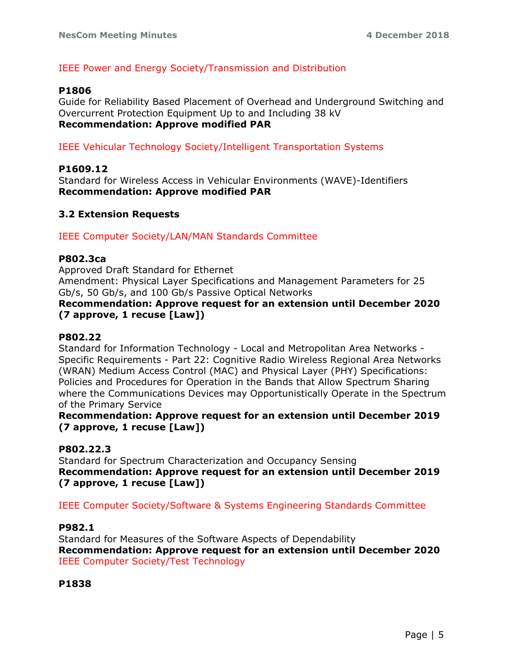# IEEE Power and Energy Society/Transmission and Distribution

# **P1806**

Guide for Reliability Based Placement of Overhead and Underground Switching and Overcurrent Protection Equipment Up to and Including 38 kV **Recommendation: Approve modified PAR**

# IEEE Vehicular Technology Society/Intelligent Transportation Systems

# **P1609.12**

Standard for Wireless Access in Vehicular Environments (WAVE)-Identifiers **Recommendation: Approve modified PAR**

# **3.2 Extension Requests**

IEEE Computer Society/LAN/MAN Standards Committee

#### **P802.3ca**

Approved Draft Standard for Ethernet Amendment: Physical Layer Specifications and Management Parameters for 25 Gb/s, 50 Gb/s, and 100 Gb/s Passive Optical Networks

# **Recommendation: Approve request for an extension until December 2020 (7 approve, 1 recuse [Law])**

# **P802.22**

Standard for Information Technology - Local and Metropolitan Area Networks - Specific Requirements - Part 22: Cognitive Radio Wireless Regional Area Networks (WRAN) Medium Access Control (MAC) and Physical Layer (PHY) Specifications: Policies and Procedures for Operation in the Bands that Allow Spectrum Sharing where the Communications Devices may Opportunistically Operate in the Spectrum of the Primary Service

# **Recommendation: Approve request for an extension until December 2019 (7 approve, 1 recuse [Law])**

# **P802.22.3**

Standard for Spectrum Characterization and Occupancy Sensing **Recommendation: Approve request for an extension until December 2019 (7 approve, 1 recuse [Law])**

IEEE Computer Society/Software & Systems Engineering Standards Committee

#### **P982.1**

Standard for Measures of the Software Aspects of Dependability **Recommendation: Approve request for an extension until December 2020** IEEE Computer Society/Test Technology

**P1838**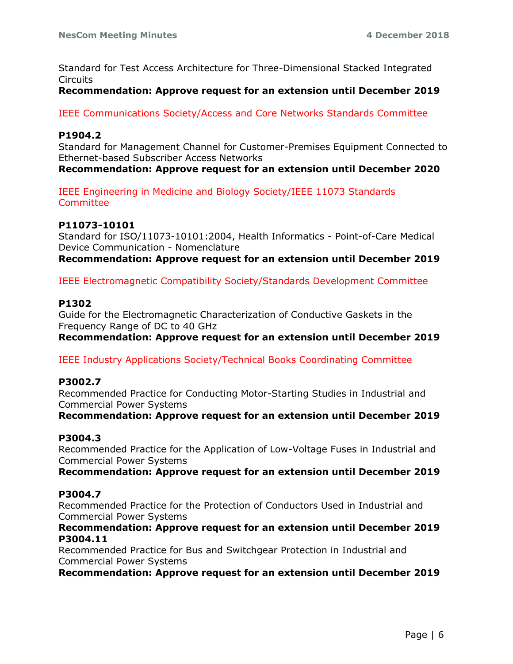Standard for Test Access Architecture for Three-Dimensional Stacked Integrated Circuits

#### **Recommendation: Approve request for an extension until December 2019**

IEEE Communications Society/Access and Core Networks Standards Committee

### **P1904.2**

Standard for Management Channel for Customer-Premises Equipment Connected to Ethernet-based Subscriber Access Networks

**Recommendation: Approve request for an extension until December 2020**

IEEE Engineering in Medicine and Biology Society/IEEE 11073 Standards **Committee** 

#### **P11073-10101**

Standard for ISO/11073-10101:2004, Health Informatics - Point-of-Care Medical Device Communication - Nomenclature

**Recommendation: Approve request for an extension until December 2019**

IEEE Electromagnetic Compatibility Society/Standards Development Committee

#### **P1302**

Guide for the Electromagnetic Characterization of Conductive Gaskets in the Frequency Range of DC to 40 GHz

**Recommendation: Approve request for an extension until December 2019**

IEEE Industry Applications Society/Technical Books Coordinating Committee

# **P3002.7**

Recommended Practice for Conducting Motor-Starting Studies in Industrial and Commercial Power Systems

**Recommendation: Approve request for an extension until December 2019**

# **P3004.3**

Recommended Practice for the Application of Low-Voltage Fuses in Industrial and Commercial Power Systems

**Recommendation: Approve request for an extension until December 2019**

# **P3004.7**

Recommended Practice for the Protection of Conductors Used in Industrial and Commercial Power Systems

#### **Recommendation: Approve request for an extension until December 2019 P3004.11**

Recommended Practice for Bus and Switchgear Protection in Industrial and Commercial Power Systems

**Recommendation: Approve request for an extension until December 2019**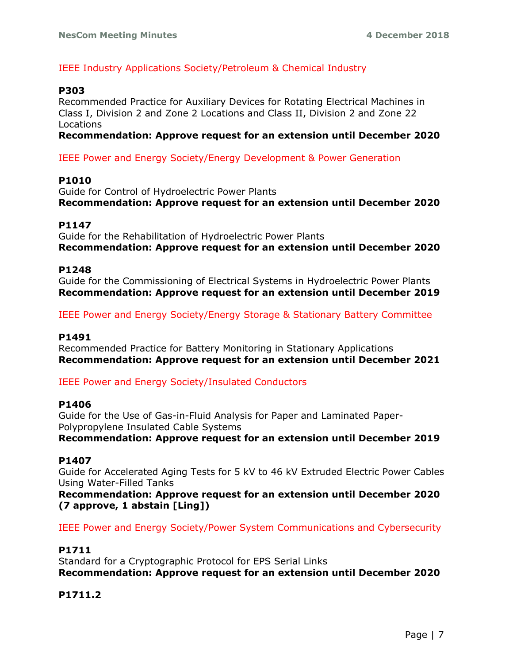# IEEE Industry Applications Society/Petroleum & Chemical Industry

### **P303**

Recommended Practice for Auxiliary Devices for Rotating Electrical Machines in Class I, Division 2 and Zone 2 Locations and Class II, Division 2 and Zone 22 Locations

**Recommendation: Approve request for an extension until December 2020**

IEEE Power and Energy Society/Energy Development & Power Generation

#### **P1010**

Guide for Control of Hydroelectric Power Plants **Recommendation: Approve request for an extension until December 2020**

#### **P1147**

Guide for the Rehabilitation of Hydroelectric Power Plants **Recommendation: Approve request for an extension until December 2020**

#### **P1248**

Guide for the Commissioning of Electrical Systems in Hydroelectric Power Plants **Recommendation: Approve request for an extension until December 2019**

IEEE Power and Energy Society/Energy Storage & Stationary Battery Committee

#### **P1491**

Recommended Practice for Battery Monitoring in Stationary Applications **Recommendation: Approve request for an extension until December 2021**

IEEE Power and Energy Society/Insulated Conductors

#### **P1406**

Guide for the Use of Gas-in-Fluid Analysis for Paper and Laminated Paper-Polypropylene Insulated Cable Systems

**Recommendation: Approve request for an extension until December 2019**

# **P1407**

Guide for Accelerated Aging Tests for 5 kV to 46 kV Extruded Electric Power Cables Using Water-Filled Tanks

**Recommendation: Approve request for an extension until December 2020 (7 approve, 1 abstain [Ling])**

IEEE Power and Energy Society/Power System Communications and Cybersecurity

# **P1711**

Standard for a Cryptographic Protocol for EPS Serial Links **Recommendation: Approve request for an extension until December 2020**

# **P1711.2**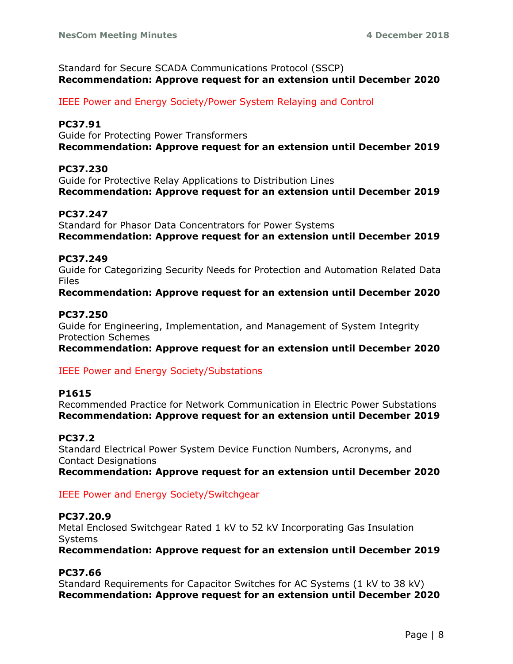Standard for Secure SCADA Communications Protocol (SSCP) **Recommendation: Approve request for an extension until December 2020**

IEEE Power and Energy Society/Power System Relaying and Control

# **PC37.91**

Guide for Protecting Power Transformers **Recommendation: Approve request for an extension until December 2019**

# **PC37.230**

Guide for Protective Relay Applications to Distribution Lines **Recommendation: Approve request for an extension until December 2019**

# **PC37.247**

Standard for Phasor Data Concentrators for Power Systems **Recommendation: Approve request for an extension until December 2019**

# **PC37.249**

Guide for Categorizing Security Needs for Protection and Automation Related Data Files

**Recommendation: Approve request for an extension until December 2020**

# **PC37.250**

Guide for Engineering, Implementation, and Management of System Integrity Protection Schemes

**Recommendation: Approve request for an extension until December 2020**

# IEEE Power and Energy Society/Substations

# **P1615**

Recommended Practice for Network Communication in Electric Power Substations **Recommendation: Approve request for an extension until December 2019**

# **PC37.2**

Standard Electrical Power System Device Function Numbers, Acronyms, and Contact Designations **Recommendation: Approve request for an extension until December 2020**

# IEEE Power and Energy Society/Switchgear

# **PC37.20.9**

Metal Enclosed Switchgear Rated 1 kV to 52 kV Incorporating Gas Insulation Systems

**Recommendation: Approve request for an extension until December 2019**

# **PC37.66**

Standard Requirements for Capacitor Switches for AC Systems (1 kV to 38 kV) **Recommendation: Approve request for an extension until December 2020**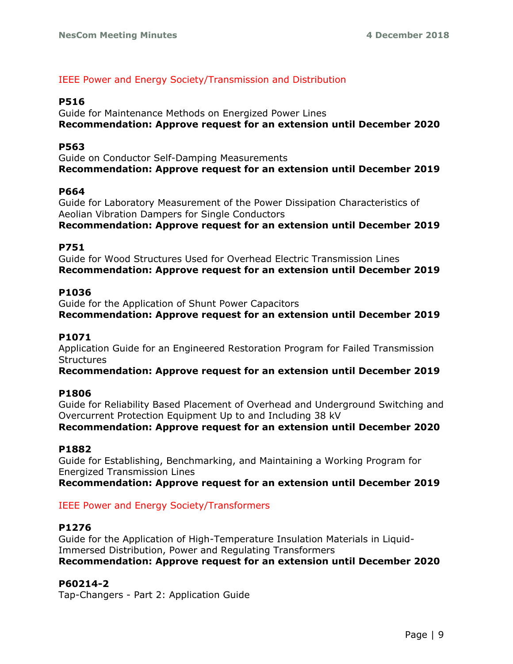# IEEE Power and Energy Society/Transmission and Distribution

# **P516**

Guide for Maintenance Methods on Energized Power Lines **Recommendation: Approve request for an extension until December 2020**

### **P563**

Guide on Conductor Self-Damping Measurements **Recommendation: Approve request for an extension until December 2019**

#### **P664**

Guide for Laboratory Measurement of the Power Dissipation Characteristics of Aeolian Vibration Dampers for Single Conductors

**Recommendation: Approve request for an extension until December 2019**

#### **P751**

Guide for Wood Structures Used for Overhead Electric Transmission Lines **Recommendation: Approve request for an extension until December 2019**

### **P1036**

Guide for the Application of Shunt Power Capacitors **Recommendation: Approve request for an extension until December 2019**

# **P1071**

Application Guide for an Engineered Restoration Program for Failed Transmission **Structures** 

# **Recommendation: Approve request for an extension until December 2019**

#### **P1806**

Guide for Reliability Based Placement of Overhead and Underground Switching and Overcurrent Protection Equipment Up to and Including 38 kV

**Recommendation: Approve request for an extension until December 2020**

#### **P1882**

Guide for Establishing, Benchmarking, and Maintaining a Working Program for Energized Transmission Lines

**Recommendation: Approve request for an extension until December 2019**

# IEEE Power and Energy Society/Transformers

#### **P1276**

Guide for the Application of High-Temperature Insulation Materials in Liquid-Immersed Distribution, Power and Regulating Transformers **Recommendation: Approve request for an extension until December 2020**

#### **P60214-2**

Tap-Changers - Part 2: Application Guide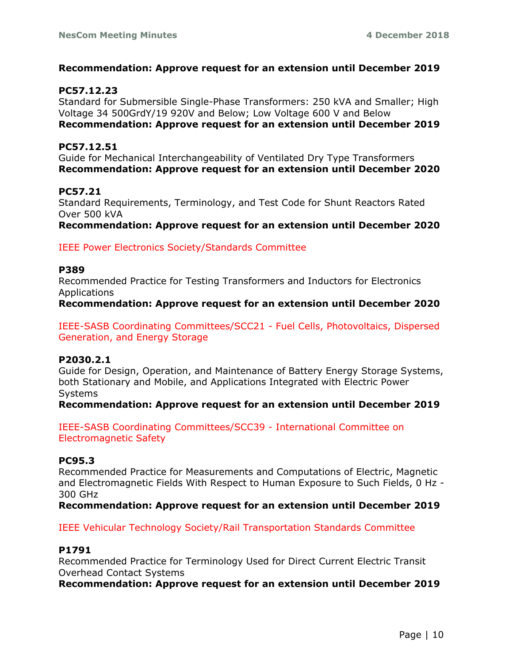# **Recommendation: Approve request for an extension until December 2019**

### **PC57.12.23**

Standard for Submersible Single-Phase Transformers: 250 kVA and Smaller; High Voltage 34 500GrdY/19 920V and Below; Low Voltage 600 V and Below **Recommendation: Approve request for an extension until December 2019**

#### **PC57.12.51**

Guide for Mechanical Interchangeability of Ventilated Dry Type Transformers **Recommendation: Approve request for an extension until December 2020**

# **PC57.21**

Standard Requirements, Terminology, and Test Code for Shunt Reactors Rated Over 500 kVA

**Recommendation: Approve request for an extension until December 2020**

IEEE Power Electronics Society/Standards Committee

#### **P389**

Recommended Practice for Testing Transformers and Inductors for Electronics Applications

**Recommendation: Approve request for an extension until December 2020**

IEEE-SASB Coordinating Committees/SCC21 - Fuel Cells, Photovoltaics, Dispersed Generation, and Energy Storage

#### **P2030.2.1**

Guide for Design, Operation, and Maintenance of Battery Energy Storage Systems, both Stationary and Mobile, and Applications Integrated with Electric Power **Systems** 

**Recommendation: Approve request for an extension until December 2019**

IEEE-SASB Coordinating Committees/SCC39 - International Committee on Electromagnetic Safety

#### **PC95.3**

Recommended Practice for Measurements and Computations of Electric, Magnetic and Electromagnetic Fields With Respect to Human Exposure to Such Fields, 0 Hz - 300 GHz

**Recommendation: Approve request for an extension until December 2019**

# IEEE Vehicular Technology Society/Rail Transportation Standards Committee

# **P1791**

Recommended Practice for Terminology Used for Direct Current Electric Transit Overhead Contact Systems

**Recommendation: Approve request for an extension until December 2019**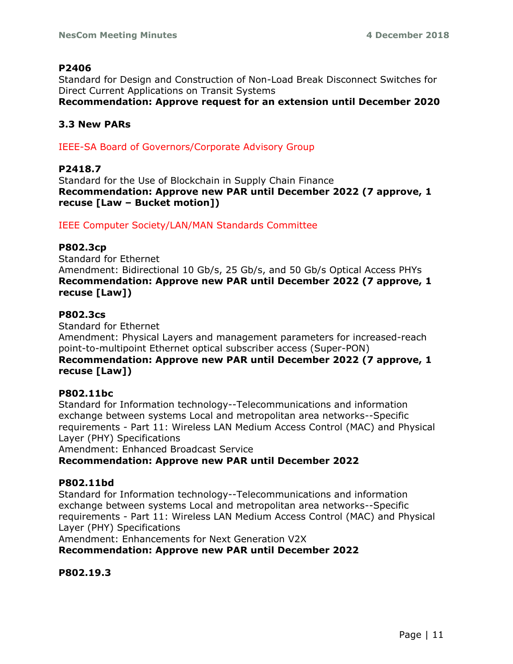# **P2406**

Standard for Design and Construction of Non-Load Break Disconnect Switches for Direct Current Applications on Transit Systems **Recommendation: Approve request for an extension until December 2020**

# **3.3 New PARs**

IEEE-SA Board of Governors/Corporate Advisory Group

# **P2418.7**

Standard for the Use of Blockchain in Supply Chain Finance **Recommendation: Approve new PAR until December 2022 (7 approve, 1 recuse [Law – Bucket motion])**

IEEE Computer Society/LAN/MAN Standards Committee

# **P802.3cp**

Standard for Ethernet Amendment: Bidirectional 10 Gb/s, 25 Gb/s, and 50 Gb/s Optical Access PHYs **Recommendation: Approve new PAR until December 2022 (7 approve, 1 recuse [Law])**

# **P802.3cs**

Standard for Ethernet

Amendment: Physical Layers and management parameters for increased-reach point-to-multipoint Ethernet optical subscriber access (Super-PON) **Recommendation: Approve new PAR until December 2022 (7 approve, 1 recuse [Law])**

# **P802.11bc**

Standard for Information technology--Telecommunications and information exchange between systems Local and metropolitan area networks--Specific requirements - Part 11: Wireless LAN Medium Access Control (MAC) and Physical Layer (PHY) Specifications

Amendment: Enhanced Broadcast Service

**Recommendation: Approve new PAR until December 2022**

# **P802.11bd**

Standard for Information technology--Telecommunications and information exchange between systems Local and metropolitan area networks--Specific requirements - Part 11: Wireless LAN Medium Access Control (MAC) and Physical Layer (PHY) Specifications

Amendment: Enhancements for Next Generation V2X

**Recommendation: Approve new PAR until December 2022**

**P802.19.3**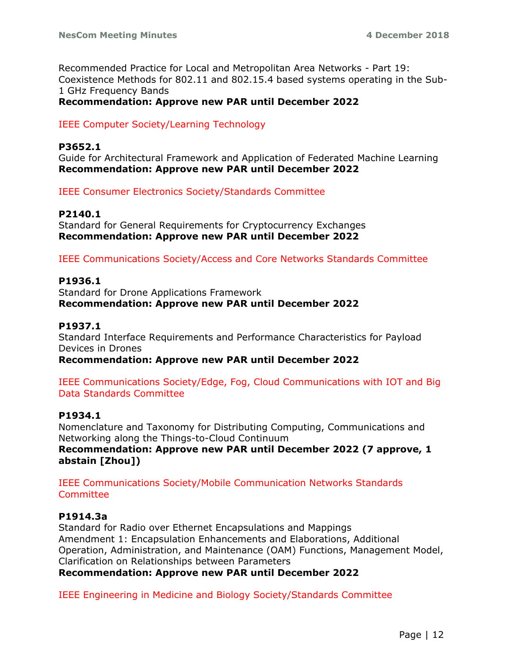Recommended Practice for Local and Metropolitan Area Networks - Part 19: Coexistence Methods for 802.11 and 802.15.4 based systems operating in the Sub-1 GHz Frequency Bands

**Recommendation: Approve new PAR until December 2022**

# IEEE Computer Society/Learning Technology

# **P3652.1**

Guide for Architectural Framework and Application of Federated Machine Learning **Recommendation: Approve new PAR until December 2022**

IEEE Consumer Electronics Society/Standards Committee

# **P2140.1**

Standard for General Requirements for Cryptocurrency Exchanges **Recommendation: Approve new PAR until December 2022**

IEEE Communications Society/Access and Core Networks Standards Committee

# **P1936.1**

Standard for Drone Applications Framework **Recommendation: Approve new PAR until December 2022**

# **P1937.1**

Standard Interface Requirements and Performance Characteristics for Payload Devices in Drones

**Recommendation: Approve new PAR until December 2022**

IEEE Communications Society/Edge, Fog, Cloud Communications with IOT and Big Data Standards Committee

#### **P1934.1**

Nomenclature and Taxonomy for Distributing Computing, Communications and Networking along the Things-to-Cloud Continuum **Recommendation: Approve new PAR until December 2022 (7 approve, 1 abstain [Zhou])**

IEEE Communications Society/Mobile Communication Networks Standards **Committee** 

# **P1914.3a**

Standard for Radio over Ethernet Encapsulations and Mappings Amendment 1: Encapsulation Enhancements and Elaborations, Additional Operation, Administration, and Maintenance (OAM) Functions, Management Model, Clarification on Relationships between Parameters

**Recommendation: Approve new PAR until December 2022**

IEEE Engineering in Medicine and Biology Society/Standards Committee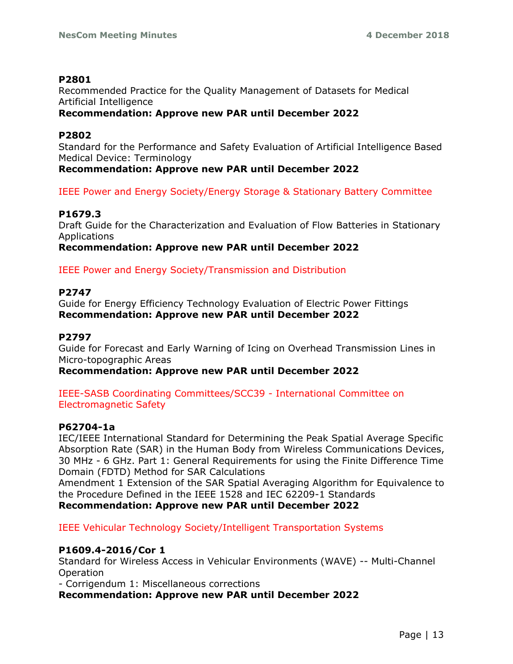# **P2801**

Recommended Practice for the Quality Management of Datasets for Medical Artificial Intelligence

# **Recommendation: Approve new PAR until December 2022**

# **P2802**

Standard for the Performance and Safety Evaluation of Artificial Intelligence Based Medical Device: Terminology

**Recommendation: Approve new PAR until December 2022**

# IEEE Power and Energy Society/Energy Storage & Stationary Battery Committee

# **P1679.3**

Draft Guide for the Characterization and Evaluation of Flow Batteries in Stationary Applications

**Recommendation: Approve new PAR until December 2022**

IEEE Power and Energy Society/Transmission and Distribution

# **P2747**

Guide for Energy Efficiency Technology Evaluation of Electric Power Fittings **Recommendation: Approve new PAR until December 2022**

# **P2797**

Guide for Forecast and Early Warning of Icing on Overhead Transmission Lines in Micro-topographic Areas

# **Recommendation: Approve new PAR until December 2022**

IEEE-SASB Coordinating Committees/SCC39 - International Committee on Electromagnetic Safety

# **P62704-1a**

IEC/IEEE International Standard for Determining the Peak Spatial Average Specific Absorption Rate (SAR) in the Human Body from Wireless Communications Devices, 30 MHz - 6 GHz. Part 1: General Requirements for using the Finite Difference Time Domain (FDTD) Method for SAR Calculations

Amendment 1 Extension of the SAR Spatial Averaging Algorithm for Equivalence to the Procedure Defined in the IEEE 1528 and IEC 62209-1 Standards

**Recommendation: Approve new PAR until December 2022**

IEEE Vehicular Technology Society/Intelligent Transportation Systems

# **P1609.4-2016/Cor 1**

Standard for Wireless Access in Vehicular Environments (WAVE) -- Multi-Channel Operation

- Corrigendum 1: Miscellaneous corrections

**Recommendation: Approve new PAR until December 2022**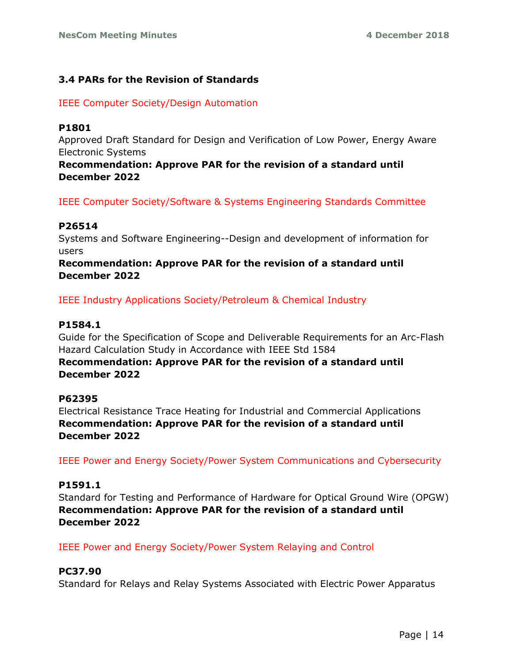# **3.4 PARs for the Revision of Standards**

IEEE Computer Society/Design Automation

# **P1801**

Approved Draft Standard for Design and Verification of Low Power, Energy Aware Electronic Systems

**Recommendation: Approve PAR for the revision of a standard until December 2022**

IEEE Computer Society/Software & Systems Engineering Standards Committee

# **P26514**

Systems and Software Engineering--Design and development of information for users

# **Recommendation: Approve PAR for the revision of a standard until December 2022**

IEEE Industry Applications Society/Petroleum & Chemical Industry

# **P1584.1**

Guide for the Specification of Scope and Deliverable Requirements for an Arc-Flash Hazard Calculation Study in Accordance with IEEE Std 1584

# **Recommendation: Approve PAR for the revision of a standard until December 2022**

# **P62395**

Electrical Resistance Trace Heating for Industrial and Commercial Applications **Recommendation: Approve PAR for the revision of a standard until December 2022**

IEEE Power and Energy Society/Power System Communications and Cybersecurity

# **P1591.1**

Standard for Testing and Performance of Hardware for Optical Ground Wire (OPGW) **Recommendation: Approve PAR for the revision of a standard until December 2022**

IEEE Power and Energy Society/Power System Relaying and Control

# **PC37.90**

Standard for Relays and Relay Systems Associated with Electric Power Apparatus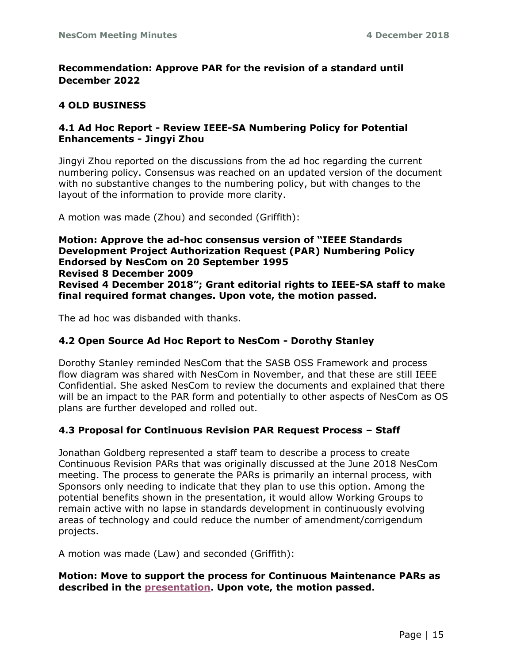# **Recommendation: Approve PAR for the revision of a standard until December 2022**

# **4 OLD BUSINESS**

# **4.1 Ad Hoc Report - Review IEEE-SA Numbering Policy for Potential Enhancements - Jingyi Zhou**

Jingyi Zhou reported on the discussions from the ad hoc regarding the current numbering policy. Consensus was reached on an updated version of the document with no substantive changes to the numbering policy, but with changes to the layout of the information to provide more clarity.

A motion was made (Zhou) and seconded (Griffith):

**Motion: Approve the ad-hoc consensus version of "IEEE Standards Development Project Authorization Request (PAR) Numbering Policy Endorsed by NesCom on 20 September 1995 Revised 8 December 2009 Revised 4 December 2018"; Grant editorial rights to IEEE-SA staff to make final required format changes. Upon vote, the motion passed.**

The ad hoc was disbanded with thanks.

# **4.2 Open Source Ad Hoc Report to NesCom - Dorothy Stanley**

Dorothy Stanley reminded NesCom that the SASB OSS Framework and process flow diagram was shared with NesCom in November, and that these are still IEEE Confidential. She asked NesCom to review the documents and explained that there will be an impact to the PAR form and potentially to other aspects of NesCom as OS plans are further developed and rolled out.

# **4.3 Proposal for Continuous Revision PAR Request Process – Staff**

Jonathan Goldberg represented a staff team to describe a process to create Continuous Revision PARs that was originally discussed at the June 2018 NesCom meeting. The process to generate the PARs is primarily an internal process, with Sponsors only needing to indicate that they plan to use this option. Among the potential benefits shown in the presentation, it would allow Working Groups to remain active with no lapse in standards development in continuously evolving areas of technology and could reduce the number of amendment/corrigendum projects.

A motion was made (Law) and seconded (Griffith):

# **Motion: Move to support the process for Continuous Maintenance PARs as described in the [presentation.](https://ieee.box.com/v/Continuous-Rev) Upon vote, the motion passed.**